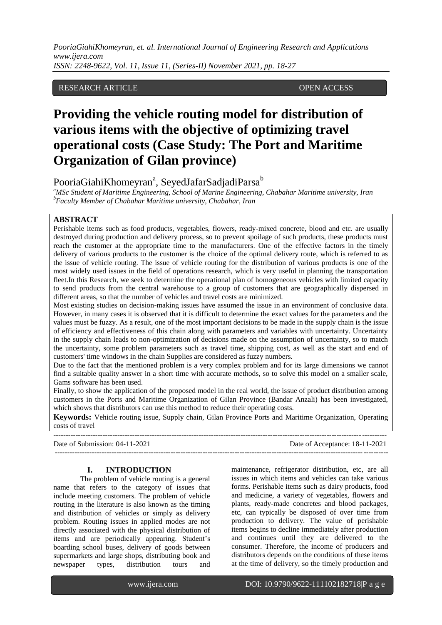*PooriaGiahiKhomeyran, et. al. International Journal of Engineering Research and Applications www.ijera.com*

*ISSN: 2248-9622, Vol. 11, Issue 11, (Series-II) November 2021, pp. 18-27*

## RESEARCH ARTICLE **OPEN ACCESS**

# **Providing the vehicle routing model for distribution of various items with the objective of optimizing travel operational costs (Case Study: The Port and Maritime Organization of Gilan province)**

PooriaGiahiKhomeyran<sup>a</sup>, SeyedJafarSadjadiParsa $^{\rm b}$ 

*<sup>a</sup>MSc Student of Maritime Engineering, School of Marine Engineering, Chabahar Maritime university, Iran <sup>b</sup>Faculty Member of Chabahar Maritime university, Chabahar, Iran* 

## **ABSTRACT**

Perishable items such as food products, vegetables, flowers, ready-mixed concrete, blood and etc. are usually destroyed during production and delivery process, so to prevent spoilage of such products, these products must reach the customer at the appropriate time to the manufacturers. One of the effective factors in the timely delivery of various products to the customer is the choice of the optimal delivery route, which is referred to as the issue of vehicle routing. The issue of vehicle routing for the distribution of various products is one of the most widely used issues in the field of operations research, which is very useful in planning the transportation fleet.In this Research, we seek to determine the operational plan of homogeneous vehicles with limited capacity to send products from the central warehouse to a group of customers that are geographically dispersed in different areas, so that the number of vehicles and travel costs are minimized.

Most existing studies on decision-making issues have assumed the issue in an environment of conclusive data. However, in many cases it is observed that it is difficult to determine the exact values for the parameters and the values must be fuzzy. As a result, one of the most important decisions to be made in the supply chain is the issue of efficiency and effectiveness of this chain along with parameters and variables with uncertainty. Uncertainty in the supply chain leads to non-optimization of decisions made on the assumption of uncertainty, so to match the uncertainty, some problem parameters such as travel time, shipping cost, as well as the start and end of customers' time windows in the chain Supplies are considered as fuzzy numbers.

Due to the fact that the mentioned problem is a very complex problem and for its large dimensions we cannot find a suitable quality answer in a short time with accurate methods, so to solve this model on a smaller scale, Gams software has been used.

Finally, to show the application of the proposed model in the real world, the issue of product distribution among customers in the Ports and Maritime Organization of Gilan Province (Bandar Anzali) has been investigated, which shows that distributors can use this method to reduce their operating costs.

**Keywords:** Vehicle routing issue, Supply chain, Gilan Province Ports and Maritime Organization, Operating costs of travel ---------------------------------------------------------------------------------------------------------------------------------------

Date of Submission: 04-11-2021 Date of Acceptance: 18-11-2021 ---------------------------------------------------------------------------------------------------------------------------------------

#### **I. INTRODUCTION**

The problem of vehicle routing is a general name that refers to the category of issues that include meeting customers. The problem of vehicle routing in the literature is also known as the timing and distribution of vehicles or simply as delivery problem. Routing issues in applied modes are not directly associated with the physical distribution of items and are periodically appearing. Student's boarding school buses, delivery of goods between supermarkets and large shops, distributing book and newspaper types, distribution tours and maintenance, refrigerator distribution, etc, are all issues in which items and vehicles can take various forms. Perishable items such as dairy products, food and medicine, a variety of vegetables, flowers and plants, ready-made concretes and blood packages, etc, can typically be disposed of over time from production to delivery. The value of perishable items begins to decline immediately after production and continues until they are delivered to the consumer. Therefore, the income of producers and distributors depends on the conditions of these items at the time of delivery, so the timely production and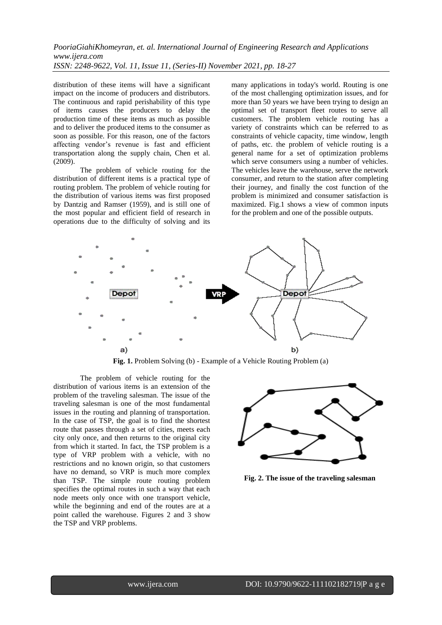distribution of these items will have a significant impact on the income of producers and distributors. The continuous and rapid perishability of this type of items causes the producers to delay the production time of these items as much as possible and to deliver the produced items to the consumer as soon as possible. For this reason, one of the factors affecting vendor's revenue is fast and efficient transportation along the supply chain, Chen et al.  $(2009)$ .

The problem of vehicle routing for the distribution of different items is a practical type of routing problem. The problem of vehicle routing for the distribution of various items was first proposed by Dantzig and Ramser (1959), and is still one of the most popular and efficient field of research in operations due to the difficulty of solving and its many applications in today's world. Routing is one of the most challenging optimization issues, and for more than 50 years we have been trying to design an optimal set of transport fleet routes to serve all customers. The problem vehicle routing has a variety of constraints which can be referred to as constraints of vehicle capacity, time window, length of paths, etc. the problem of vehicle routing is a general name for a set of optimization problems which serve consumers using a number of vehicles. The vehicles leave the warehouse, serve the network consumer, and return to the station after completing their journey, and finally the cost function of the problem is minimized and consumer satisfaction is maximized. Fig.1 shows a view of common inputs for the problem and one of the possible outputs.



**Fig. 1.** Problem Solving (b) - Example of a Vehicle Routing Problem (a)

The problem of vehicle routing for the distribution of various items is an extension of the problem of the traveling salesman. The issue of the traveling salesman is one of the most fundamental issues in the routing and planning of transportation. In the case of TSP, the goal is to find the shortest route that passes through a set of cities, meets each city only once, and then returns to the original city from which it started. In fact, the TSP problem is a type of VRP problem with a vehicle, with no restrictions and no known origin, so that customers have no demand, so VRP is much more complex than TSP. The simple route routing problem specifies the optimal routes in such a way that each node meets only once with one transport vehicle, while the beginning and end of the routes are at a point called the warehouse. Figures 2 and 3 show the TSP and VRP problems.



**Fig. 2. The issue of the traveling salesman**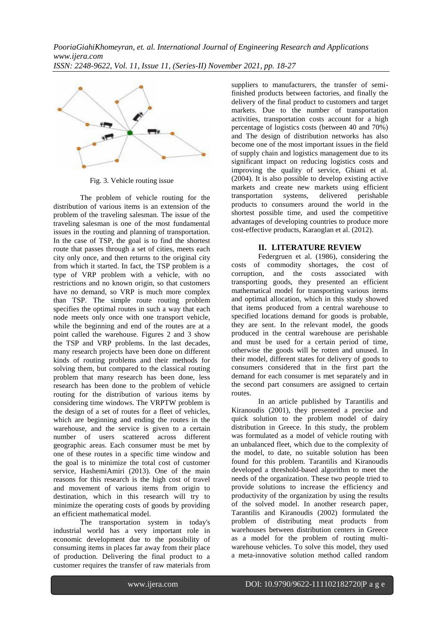

Fig. 3. Vehicle routing issue

The problem of vehicle routing for the distribution of various items is an extension of the problem of the traveling salesman. The issue of the traveling salesman is one of the most fundamental issues in the routing and planning of transportation. In the case of TSP, the goal is to find the shortest route that passes through a set of cities, meets each city only once, and then returns to the original city from which it started. In fact, the TSP problem is a type of VRP problem with a vehicle, with no restrictions and no known origin, so that customers have no demand, so VRP is much more complex than TSP. The simple route routing problem specifies the optimal routes in such a way that each node meets only once with one transport vehicle, while the beginning and end of the routes are at a point called the warehouse. Figures 2 and 3 show the TSP and VRP problems. In the last decades, many research projects have been done on different kinds of routing problems and their methods for solving them, but compared to the classical routing problem that many research has been done, less research has been done to the problem of vehicle routing for the distribution of various items by considering time windows. The VRPTW problem is the design of a set of routes for a fleet of vehicles, which are beginning and ending the routes in the warehouse, and the service is given to a certain number of users scattered across different geographic areas. Each consumer must be met by one of these routes in a specific time window and the goal is to minimize the total cost of customer service, HashemiAmiri (2013). One of the main reasons for this research is the high cost of travel and movement of various items from origin to destination, which in this research will try to minimize the operating costs of goods by providing an efficient mathematical model.

The transportation system in today's industrial world has a very important role in economic development due to the possibility of consuming items in places far away from their place of production. Delivering the final product to a customer requires the transfer of raw materials from suppliers to manufacturers, the transfer of semifinished products between factories, and finally the delivery of the final product to customers and target markets. Due to the number of transportation activities, transportation costs account for a high percentage of logistics costs (between 40 and 70%) and The design of distribution networks has also become one of the most important issues in the field of supply chain and logistics management due to its significant impact on reducing logistics costs and improving the quality of service, Ghiani et al. (2004). It is also possible to develop existing active markets and create new markets using efficient transportation systems, delivered perishable products to consumers around the world in the shortest possible time, and used the competitive advantages of developing countries to produce more cost-effective products, Karaoglan et al. (2012).

# **II. LITERATURE REVIEW**

Federgruen et al. (1986), considering the costs of commodity shortages, the cost of corruption, and the costs associated with transporting goods, they presented an efficient mathematical model for transporting various items and optimal allocation, which in this study showed that items produced from a central warehouse to specified locations demand for goods is probable, they are sent. In the relevant model, the goods produced in the central warehouse are perishable and must be used for a certain period of time, otherwise the goods will be rotten and unused. In their model, different states for delivery of goods to consumers considered that in the first part the demand for each consumer is met separately and in the second part consumers are assigned to certain routes.

In an article published by Tarantilis and Kiranoudis (2001), they presented a precise and quick solution to the problem model of dairy distribution in Greece. In this study, the problem was formulated as a model of vehicle routing with an unbalanced fleet, which due to the complexity of the model, to date, no suitable solution has been found for this problem. Tarantilis and Kiranoudis developed a threshold-based algorithm to meet the needs of the organization. These two people tried to provide solutions to increase the efficiency and productivity of the organization by using the results of the solved model. In another research paper, Tarantilis and Kiranoudis (2002) formulated the problem of distributing meat products from warehouses between distribution centers in Greece as a model for the problem of routing multiwarehouse vehicles. To solve this model, they used a meta-innovative solution method called random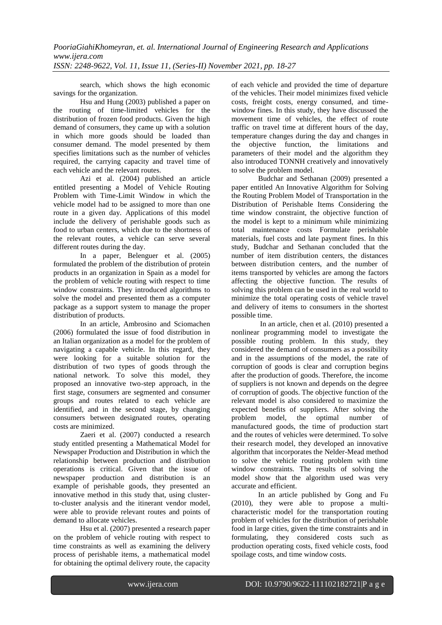search, which shows the high economic savings for the organization.

Hsu and Hung (2003) published a paper on the routing of time-limited vehicles for the distribution of frozen food products. Given the high demand of consumers, they came up with a solution in which more goods should be loaded than consumer demand. The model presented by them specifies limitations such as the number of vehicles required, the carrying capacity and travel time of each vehicle and the relevant routes.

Azi et al. (2004) published an article entitled presenting a Model of Vehicle Routing Problem with Time-Limit Window in which the vehicle model had to be assigned to more than one route in a given day. Applications of this model include the delivery of perishable goods such as food to urban centers, which due to the shortness of the relevant routes, a vehicle can serve several different routes during the day.

In a paper, Belenguer et al. (2005) formulated the problem of the distribution of protein products in an organization in Spain as a model for the problem of vehicle routing with respect to time window constraints. They introduced algorithms to solve the model and presented them as a computer package as a support system to manage the proper distribution of products.

In an article, Ambrosino and Sciomachen (2006) formulated the issue of food distribution in an Italian organization as a model for the problem of navigating a capable vehicle. In this regard, they were looking for a suitable solution for the distribution of two types of goods through the national network. To solve this model, they proposed an innovative two-step approach, in the first stage, consumers are segmented and consumer groups and routes related to each vehicle are identified, and in the second stage, by changing consumers between designated routes, operating costs are minimized.

Zaeri et al. (2007) conducted a research study entitled presenting a Mathematical Model for Newspaper Production and Distribution in which the relationship between production and distribution operations is critical. Given that the issue of newspaper production and distribution is an example of perishable goods, they presented an innovative method in this study that, using clusterto-cluster analysis and the itinerant vendor model, were able to provide relevant routes and points of demand to allocate vehicles.

Hsu et al. (2007) presented a research paper on the problem of vehicle routing with respect to time constraints as well as examining the delivery process of perishable items, a mathematical model for obtaining the optimal delivery route, the capacity of each vehicle and provided the time of departure of the vehicles. Their model minimizes fixed vehicle costs, freight costs, energy consumed, and timewindow fines. In this study, they have discussed the movement time of vehicles, the effect of route traffic on travel time at different hours of the day, temperature changes during the day and changes in the objective function, the limitations and parameters of their model and the algorithm they also introduced TONNH creatively and innovatively to solve the problem model.

Budchar and Sethanan (2009) presented a paper entitled An Innovative Algorithm for Solving the Routing Problem Model of Transportation in the Distribution of Perishable Items Considering the time window constraint, the objective function of the model is kept to a minimum while minimizing total maintenance costs Formulate perishable materials, fuel costs and late payment fines. In this study, Budchar and Sethanan concluded that the number of item distribution centers, the distances between distribution centers, and the number of items transported by vehicles are among the factors affecting the objective function. The results of solving this problem can be used in the real world to minimize the total operating costs of vehicle travel and delivery of items to consumers in the shortest possible time.

In an article, chen et al. (2010) presented a nonlinear programming model to investigate the possible routing problem. In this study, they considered the demand of consumers as a possibility and in the assumptions of the model, the rate of corruption of goods is clear and corruption begins after the production of goods. Therefore, the income of suppliers is not known and depends on the degree of corruption of goods. The objective function of the relevant model is also considered to maximize the expected benefits of suppliers. After solving the problem model, the optimal number of the optimal number of manufactured goods, the time of production start and the routes of vehicles were determined. To solve their research model, they developed an innovative algorithm that incorporates the Nelder-Mead method to solve the vehicle routing problem with time window constraints. The results of solving the model show that the algorithm used was very accurate and efficient.

In an article published by Gong and Fu (2010), they were able to propose a multicharacteristic model for the transportation routing problem of vehicles for the distribution of perishable food in large cities, given the time constraints and in formulating, they considered costs such as production operating costs, fixed vehicle costs, food spoilage costs, and time window costs.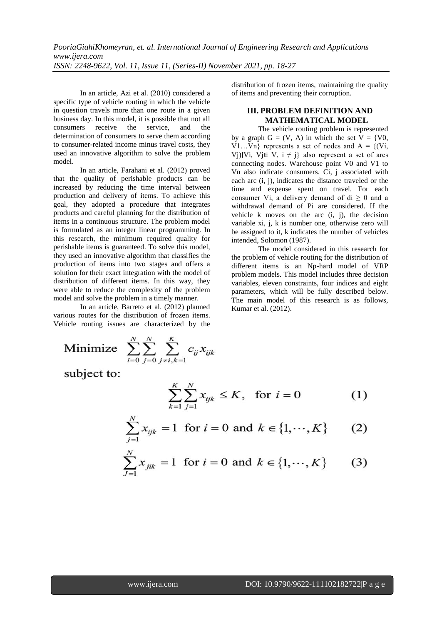In an article, Azi et al. (2010) considered a specific type of vehicle routing in which the vehicle in question travels more than one route in a given business day. In this model, it is possible that not all consumers receive the service and the consumers receive the service, and the determination of consumers to serve them according to consumer-related income minus travel costs, they used an innovative algorithm to solve the problem model.

In an article, Farahani et al. (2012) proved that the quality of perishable products can be increased by reducing the time interval between production and delivery of items. To achieve this goal, they adopted a procedure that integrates products and careful planning for the distribution of items in a continuous structure. The problem model is formulated as an integer linear programming. In this research, the minimum required quality for perishable items is guaranteed. To solve this model, they used an innovative algorithm that classifies the production of items into two stages and offers a solution for their exact integration with the model of distribution of different items. In this way, they were able to reduce the complexity of the problem model and solve the problem in a timely manner.

In an article, Barreto et al. (2012) planned various routes for the distribution of frozen items. Vehicle routing issues are characterized by the

Minimize 
$$
\sum_{i=0}^{N} \sum_{j=0}^{N} \sum_{j \neq i,k=1}^{K} c_{ij} x_{ijk}
$$

subject to:

$$
\sum_{k=1}^{K} \sum_{j=1}^{N} x_{ijk} \leq K, \text{ for } i = 0
$$
 (1)

$$
\sum_{j=1}^{N} x_{ijk} = 1 \text{ for } i = 0 \text{ and } k \in \{1, \cdots, K\}
$$
 (2)

$$
\sum_{j=1}^{N} x_{jik} = 1 \text{ for } i = 0 \text{ and } k \in \{1, \cdots, K\}
$$
 (3)

distribution of frozen items, maintaining the quality of items and preventing their corruption.

## **III. PROBLEM DEFINITION AND MATHEMATICAL MODEL**

The vehicle routing problem is represented by a graph  $G = (V, A)$  in which the set  $V = \{V0,$  $V1...Vn$ } represents a set of nodes and A =  $\{Vi,$ Vj)∣Vi, Vj∈ V, i  $\neq$  j} also represent a set of arcs connecting nodes. Warehouse point V0 and V1 to Vn also indicate consumers. Ci, j associated with each arc (i, j), indicates the distance traveled or the time and expense spent on travel. For each consumer Vi, a delivery demand of di  $\geq 0$  and a withdrawal demand of Pi are considered. If the vehicle k moves on the arc (i, j), the decision variable xi, j, k is number one, otherwise zero will be assigned to it, k indicates the number of vehicles intended, Solomon (1987).

The model considered in this research for the problem of vehicle routing for the distribution of different items is an Np-hard model of VRP problem models. This model includes three decision variables, eleven constraints, four indices and eight parameters, which will be fully described below. The main model of this research is as follows, Kumar et al. (2012).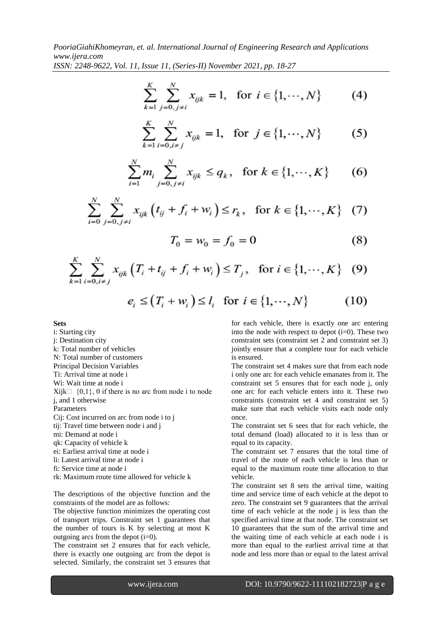$$
\sum_{k=1}^{K} \sum_{j=0, j \neq i}^{N} x_{ijk} = 1, \text{ for } i \in \{1, \cdots, N\}
$$
 (4)

$$
\sum_{k=1}^{K} \sum_{i=0, i \neq j}^{N} x_{ijk} = 1, \text{ for } j \in \{1, \cdots, N\}
$$
 (5)

$$
\sum_{i=1}^{N} m_i \sum_{j=0, j \neq i}^{N} x_{ijk} \le q_k, \text{ for } k \in \{1, \cdots, K\}
$$
 (6)

$$
\sum_{i=0}^{N} \sum_{j=0, j \neq i}^{N} x_{ijk} \left( t_{ij} + f_i + w_i \right) \le r_k, \text{ for } k \in \{1, \cdots, K\} \quad (7)
$$

$$
T_0 = w_0 = f_0 = 0 \tag{8}
$$

$$
\sum_{k=1}^{K} \sum_{i=0, i \neq j}^{N} x_{ijk} \left( T_i + t_{ij} + f_i + w_i \right) \le T_j, \text{ for } i \in \{1, \cdots, K\} \quad (9)
$$

$$
e_i \le (T_i + w_i) \le l_i \quad \text{for } i \in \{1, \cdots, N\}
$$
 (10)

**Sets** 

i: Starting city j: Destination city k: Total number of vehicles N: Total number of customers Principal Decision Variables Ti: Arrival time at node i Wi: Wait time at node i  $Xi[i] \{0,1\}, 0$  if there is no arc from node i to node j, and 1 otherwise Parameters Cij: Cost incurred on arc from node i to j tij: Travel time between node i and j mi: Demand at node i qk: Capacity of vehicle k ei: Earliest arrival time at node i li: Latest arrival time at node i fi: Service time at node i

rk: Maximum route time allowed for vehicle k

The descriptions of the objective function and the constraints of the model are as follows:

The objective function minimizes the operating cost of transport trips. Constraint set 1 guarantees that the number of tours is K by selecting at most K outgoing arcs from the depot  $(i=0)$ .

The constraint set 2 ensures that for each vehicle, there is exactly one outgoing arc from the depot is selected. Similarly, the constraint set 3 ensures that for each vehicle, there is exactly one arc entering into the node with respect to depot  $(i=0)$ . These two constraint sets (constraint set 2 and constraint set 3) jointly ensure that a complete tour for each vehicle is ensured.

The constraint set 4 makes sure that from each node i only one arc for each vehicle emanates from it. The constraint set 5 ensures that for each node j, only one arc for each vehicle enters into it. These two constraints (constraint set 4 and constraint set 5) make sure that each vehicle visits each node only once.

The constraint set 6 sees that for each vehicle, the total demand (load) allocated to it is less than or equal to its capacity.

The constraint set 7 ensures that the total time of travel of the route of each vehicle is less than or equal to the maximum route time allocation to that vehicle.

The constraint set 8 sets the arrival time, waiting time and service time of each vehicle at the depot to zero. The constraint set 9 guarantees that the arrival time of each vehicle at the node j is less than the specified arrival time at that node. The constraint set 10 guarantees that the sum of the arrival time and the waiting time of each vehicle at each node i is more than equal to the earliest arrival time at that node and less more than or equal to the latest arrival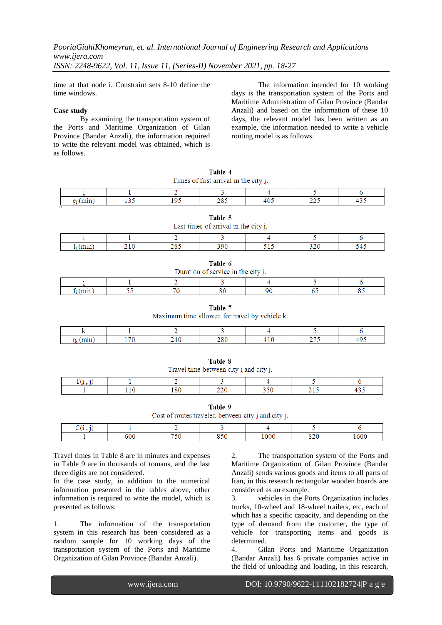time at that node i. Constraint sets 8-10 define the time windows.

#### **Case study**

By examining the transportation system of the Ports and Maritime Organization of Gilan Province (Bandar Anzali), the information required to write the relevant model was obtained, which is as follows.

The information intended for 10 working days is the transportation system of the Ports and Maritime Administration of Gilan Province (Bandar Anzali) and based on the information of these 10 days, the relevant model has been written as an example, the information needed to write a vehicle routing model is as follows.

| Times of first arrival in the city i. |  |     |            |  |       |      |  |
|---------------------------------------|--|-----|------------|--|-------|------|--|
|                                       |  |     |            |  |       |      |  |
| , , , , , , ,                         |  | .os | ግ ወዳ<br>-- |  | ,,,,, | TJ - |  |

Table 4

| Last times of arrival in the city i.     |  |  |  |  |  |  |
|------------------------------------------|--|--|--|--|--|--|
|                                          |  |  |  |  |  |  |
| າາດ<br>חם ג<br>າດຂ<br>шш<br>2 I V<br>--- |  |  |  |  |  |  |

Table 5

| Ш<br>н<br>ı. |  |
|--------------|--|
|--------------|--|

| Duration of service in the city i. |  |  |  |
|------------------------------------|--|--|--|
|                                    |  |  |  |
|                                    |  |  |  |

### Table 7

Maximum time allowed for travel by vehicle k.

| Travel time between city i and city j. |  |     |  |  |  |  |  |
|----------------------------------------|--|-----|--|--|--|--|--|
|                                        |  |     |  |  |  |  |  |
|                                        |  | .80 |  |  |  |  |  |

Table 8

Table 9 Cost of routes traveled between city i and city j.

| ،۵۵ | HER | $\overline{c}$ | 000 | $\mathbf{v}$ | 60( |
|-----|-----|----------------|-----|--------------|-----|

Travel times in Table 8 are in minutes and expenses in Table 9 are in thousands of tomans, and the last three digits are not considered.

In the case study, in addition to the numerical information presented in the tables above, other information is required to write the model, which is presented as follows:

1. The information of the transportation system in this research has been considered as a random sample for 10 working days of the transportation system of the Ports and Maritime Organization of Gilan Province (Bandar Anzali).

2. The transportation system of the Ports and Maritime Organization of Gilan Province (Bandar Anzali) sends various goods and items to all parts of Iran, in this research rectangular wooden boards are considered as an example.

3. vehicles in the Ports Organization includes trucks, 10-wheel and 18-wheel trailers, etc, each of which has a specific capacity, and depending on the type of demand from the customer, the type of vehicle for transporting items and goods is determined.

4. Gilan Ports and Maritime Organization (Bandar Anzali) has 6 private companies active in the field of unloading and loading, in this research,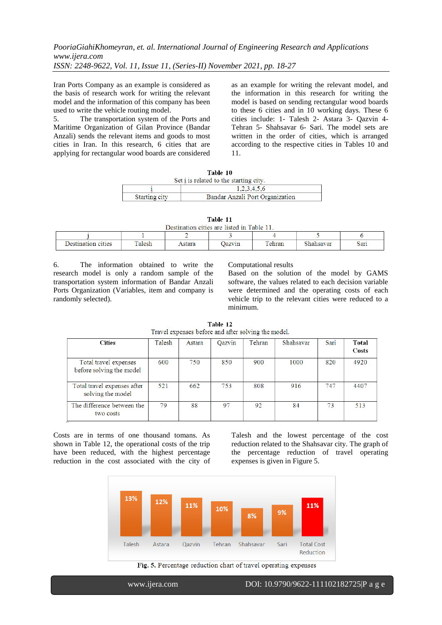Iran Ports Company as an example is considered as the basis of research work for writing the relevant model and the information of this company has been used to write the vehicle routing model.

5. The transportation system of the Ports and Maritime Organization of Gilan Province (Bandar Anzali) sends the relevant items and goods to most cities in Iran. In this research, 6 cities that are applying for rectangular wood boards are considered as an example for writing the relevant model, and the information in this research for writing the model is based on sending rectangular wood boards to these 6 cities and in 10 working days. These 6 cities include: 1- Talesh 2- Astara 3- Qazvin 4- Tehran 5- Shahsavar 6- Sari. The model sets are written in the order of cities, which is arranged according to the respective cities in Tables 10 and 11.

| Table 10                                         |             |  |  |  |  |  |
|--------------------------------------------------|-------------|--|--|--|--|--|
| Set i is related to the starting city.           |             |  |  |  |  |  |
|                                                  | 1,2,3,4,5,6 |  |  |  |  |  |
| Starting city<br>Bandar Anzali Port Organization |             |  |  |  |  |  |
|                                                  |             |  |  |  |  |  |

|                                           | Table 11 |  |  |  |
|-------------------------------------------|----------|--|--|--|
| Destination oities and listed in Table 11 |          |  |  |  |

| Destination cities are itsted in Table 11. |        |        |        |        |           |      |  |
|--------------------------------------------|--------|--------|--------|--------|-----------|------|--|
|                                            |        |        |        |        |           |      |  |
| Destination cities                         | Talesh | Astara | Oazvin | Tehran | Shahsavar | Sari |  |

6. The information obtained to write the research model is only a random sample of the transportation system information of Bandar Anzali Ports Organization (Variables, item and company is randomly selected).

Computational results

Based on the solution of the model by GAMS software, the values related to each decision variable were determined and the operating costs of each vehicle trip to the relevant cities were reduced to a minimum.

|                                                     | Table 12 |  |
|-----------------------------------------------------|----------|--|
| Travel expenses before and after solving the model. |          |  |

| <b>Cities</b>                                     | Talesh | Astara | Oazvin | Tehran | Shahsavar | Sari | Total<br>Costs |
|---------------------------------------------------|--------|--------|--------|--------|-----------|------|----------------|
| Total travel expenses<br>before solving the model | 600    | 750    | 850    | 900    | 1000      | 820  | 4920           |
| Total travel expenses after<br>solving the model  | 521    | 662    | 753    | 808    | 916       | 747  | 4407           |
| The difference between the<br>two costs           | 79     | 88     | 97     | 92     | 84        | 73   | 513            |

Costs are in terms of one thousand tomans. As shown in Table 12, the operational costs of the trip have been reduced, with the highest percentage reduction in the cost associated with the city of Talesh and the lowest percentage of the cost reduction related to the Shahsavar city. The graph of the percentage reduction of travel operating expenses is given in Figure 5.



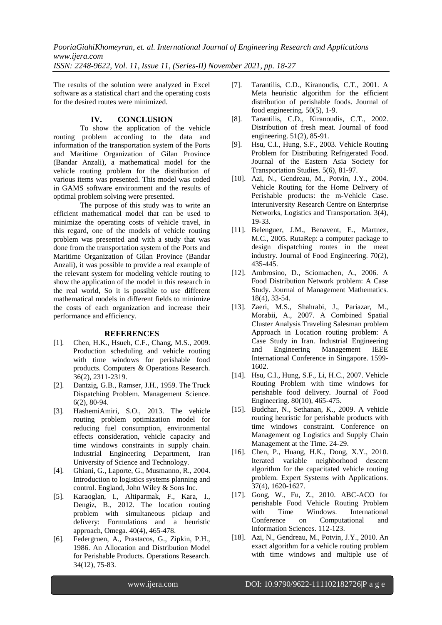The results of the solution were analyzed in Excel software as a statistical chart and the operating costs for the desired routes were minimized.

## **IV. CONCLUSION**

To show the application of the vehicle routing problem according to the data and information of the transportation system of the Ports and Maritime Organization of Gilan Province (Bandar Anzali), a mathematical model for the vehicle routing problem for the distribution of various items was presented. This model was coded in GAMS software environment and the results of optimal problem solving were presented.

The purpose of this study was to write an efficient mathematical model that can be used to minimize the operating costs of vehicle travel, in this regard, one of the models of vehicle routing problem was presented and with a study that was done from the transportation system of the Ports and Maritime Organization of Gilan Province (Bandar Anzali), it was possible to provide a real example of the relevant system for modeling vehicle routing to show the application of the model in this research in the real world, So it is possible to use different mathematical models in different fields to minimize the costs of each organization and increase their performance and efficiency.

#### **REFERENCES**

- [1]. Chen, H.K., Hsueh, C.F., Chang, M.S., 2009. Production scheduling and vehicle routing with time windows for perishable food products. Computers & Operations Research. 36(2), 2311-2319.
- [2]. Dantzig, G.B., Ramser, J.H., 1959. The Truck Dispatching Problem. Management Science. 6(2), 80-94.
- [3]. HashemiAmiri, S.O., 2013. The vehicle routing problem optimization model for reducing fuel consumption, environmental effects consideration, vehicle capacity and time windows constraints in supply chain. Industrial Engineering Department, Iran University of Science and Technology.
- [4]. Ghiani, G., Laporte, G., Musmanno, R., 2004. Introduction to logistics systems planning and control. England, John Wiley & Sons Inc.
- [5]. Karaoglan, I., Altiparmak, F., Kara, I., Dengiz, B., 2012. The location routing problem with simultaneous pickup and delivery: Formulations and a heuristic approach, Omega. 40(4), 465-478.
- [6]. Federgruen, A., Prastacos, G., Zipkin, P.H., 1986. An Allocation and Distribution Model for Perishable Products. Operations Research. 34(12), 75-83.
- [7]. Tarantilis, C.D., Kiranoudis, C.T., 2001. A Meta heuristic algorithm for the efficient distribution of perishable foods. Journal of food engineering. 50(5), 1-9.
- [8]. Tarantilis, C.D., Kiranoudis, C.T., 2002. Distribution of fresh meat. Journal of food engineering. 51(2), 85-91.
- [9]. Hsu, C.I., Hung, S.F., 2003. Vehicle Routing Problem for Distributing Refrigerated Food. Journal of the Eastern Asia Society for Transportation Studies. 5(6), 81-97.
- [10]. Azi, N., Gendreau, M., Potvin, J.Y., 2004. Vehicle Routing for the Home Delivery of Perishable products: the m-Vehicle Case. Interuniversity Research Centre on Enterprise Networks, Logistics and Transportation. 3(4), 19-33.
- [11]. Belenguer, J.M., Benavent, E., Martnez, M.C., 2005. RutaRep: a computer package to design dispatching routes in the meat industry. Journal of Food Engineering. 70(2), 435-445.
- [12]. Ambrosino, D., Sciomachen, A., 2006. A Food Distribution Network problem: A Case Study. Journal of Management Mathematics. 18(4), 33-54.
- [13]. Zaeri, M.S., Shahrabi, J., Pariazar, M., Morabii, A., 2007. A Combined Spatial Cluster Analysis Traveling Salesman problem Approach in Location routing problem: A Case Study in Iran. Industrial Engineering and Engineering Management IEEE International Conference in Singapore. 1599- 1602.
- [14]. Hsu, C.I., Hung, S.F., Li, H.C., 2007. Vehicle Routing Problem with time windows for perishable food delivery. Journal of Food Engineering. 80(10), 465-475.
- [15]. Budchar, N., Sethanan, K., 2009. A vehicle routing heuristic for perishable products with time windows constraint. Conference on Management og Logistics and Supply Chain Management at the Time. 24-29.
- [16]. Chen, P., Huang, H.K., Dong, X.Y., 2010. Iterated variable neighborhood descent algorithm for the capacitated vehicle routing problem. Expert Systems with Applications. 37(4), 1620-1627.
- [17]. Gong, W., Fu, Z., 2010. ABC-ACO for perishable Food Vehicle Routing Problem with Time Windows. International Conference on Computational and Information Sciences. 112-123.
- [18]. Azi, N., Gendreau, M., Potvin, J.Y., 2010. An exact algorithm for a vehicle routing problem with time windows and multiple use of